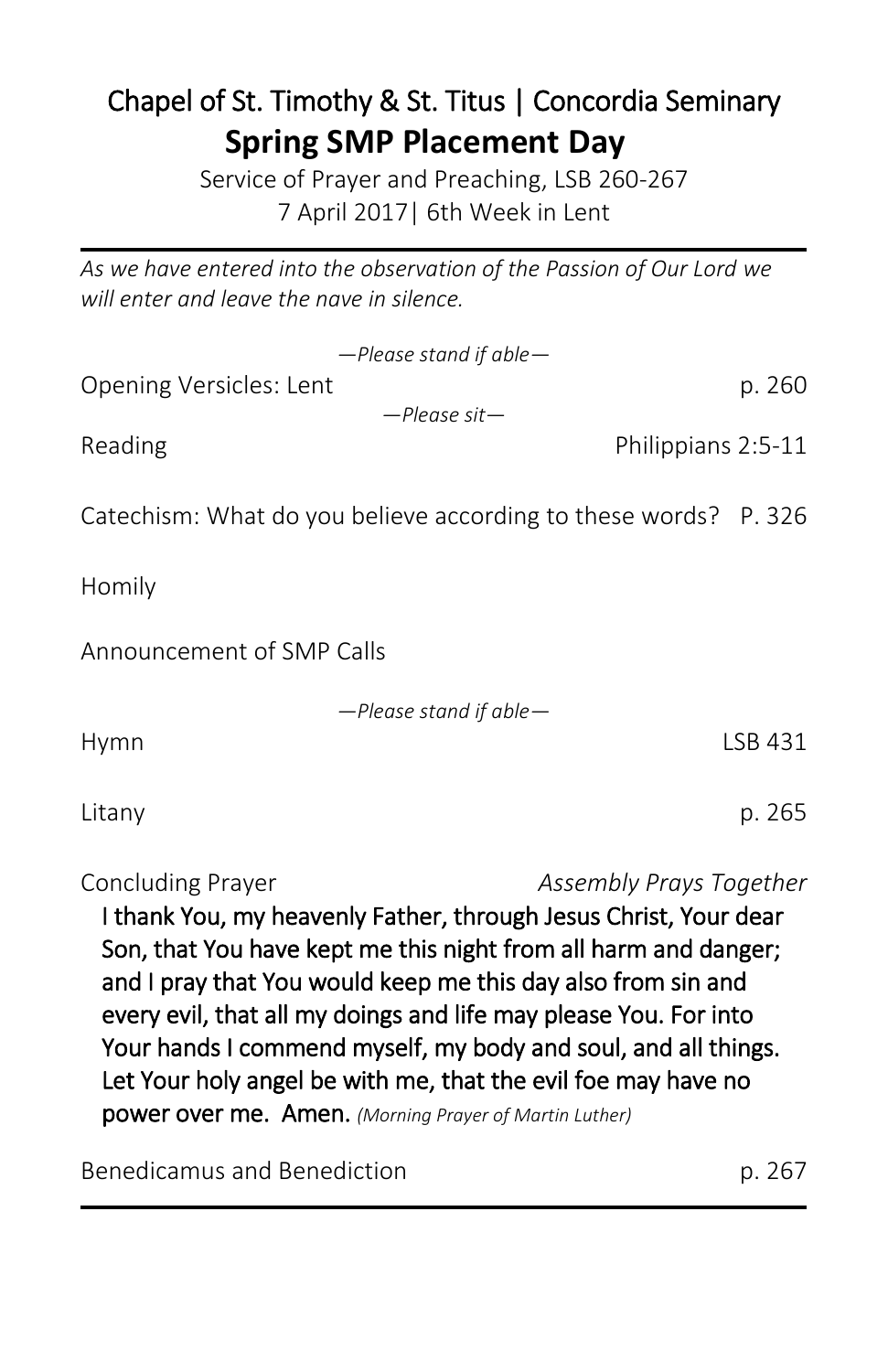# Chapel of St. Timothy & St. Titus | Concordia Seminary **Spring SMP Placement Day**

Service of Prayer and Preaching, LSB 260-267 7 April 2017| 6th Week in Lent

*As we have entered into the observation of the Passion of Our Lord we will enter and leave the nave in silence.*

|                                                                                                                                                                                                                                                                                                                         | $-$ Please stand if able $-$                                    |         |
|-------------------------------------------------------------------------------------------------------------------------------------------------------------------------------------------------------------------------------------------------------------------------------------------------------------------------|-----------------------------------------------------------------|---------|
| Opening Versicles: Lent                                                                                                                                                                                                                                                                                                 | $-$ Please sit $-$                                              | p. 260  |
| Reading                                                                                                                                                                                                                                                                                                                 | Philippians 2:5-11                                              |         |
|                                                                                                                                                                                                                                                                                                                         | Catechism: What do you believe according to these words? P. 326 |         |
| Homily                                                                                                                                                                                                                                                                                                                  |                                                                 |         |
| Announcement of SMP Calls                                                                                                                                                                                                                                                                                               |                                                                 |         |
|                                                                                                                                                                                                                                                                                                                         | $-$ Please stand if able $-$                                    |         |
| Hymn                                                                                                                                                                                                                                                                                                                    |                                                                 | LSB 431 |
| Litany                                                                                                                                                                                                                                                                                                                  |                                                                 | p. 265  |
| Concluding Prayer<br>Assembly Prays Together<br>I thank You, my heavenly Father, through Jesus Christ, Your dear<br>Son, that You have kept me this night from all harm and danger;<br>and I pray that You would keep me this day also from sin and<br>every evil, that all my doings and life may please You. For into |                                                                 |         |

Your hands I commend myself, my body and soul, and all things. Let Your holy angel be with me, that the evil foe may have no

power over me. Amen. *(Morning Prayer of Martin Luther)*

Benedicamus and Benediction p. 267